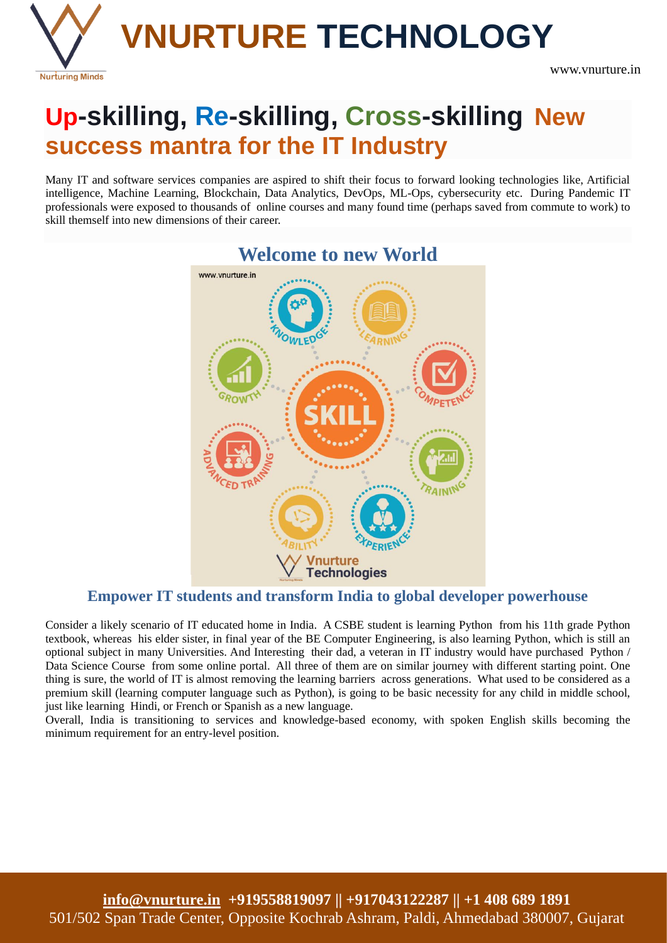

# **Up-skilling, Re-skilling, Cross-skilling New success mantra for the IT Industry**

Many IT and software services companies are aspired to shift their focus to forward looking technologies like, Artificial intelligence, Machine Learning, Blockchain, Data Analytics, DevOps, ML-Ops, cybersecurity etc. During Pandemic IT professionals were exposed to thousands of online courses and many found time (perhaps saved from commute to work) to skill themself into new dimensions of their career.



# **Welcome to new World**

### **Empower IT students and transform India to global developer powerhouse**

Consider a likely scenario of IT educated home in India. A CSBE student is learning Python from his 11th grade Python textbook, whereas his elder sister, in final year of the BE Computer Engineering, is also learning Python, which is still an optional subject in many Universities. And Interesting their dad, a veteran in IT industry would have purchased Python / Data Science Course from some online portal. All three of them are on similar journey with different starting point. One thing is sure, the world of IT is almost removing the learning barriers across generations. What used to be considered as a premium skill (learning computer language such as Python), is going to be basic necessity for any child in middle school, just like learning Hindi, or French or Spanish as a new language.

Overall, India is transitioning to services and knowledge-based economy, with spoken English skills becoming the minimum requirement for an entry-level position.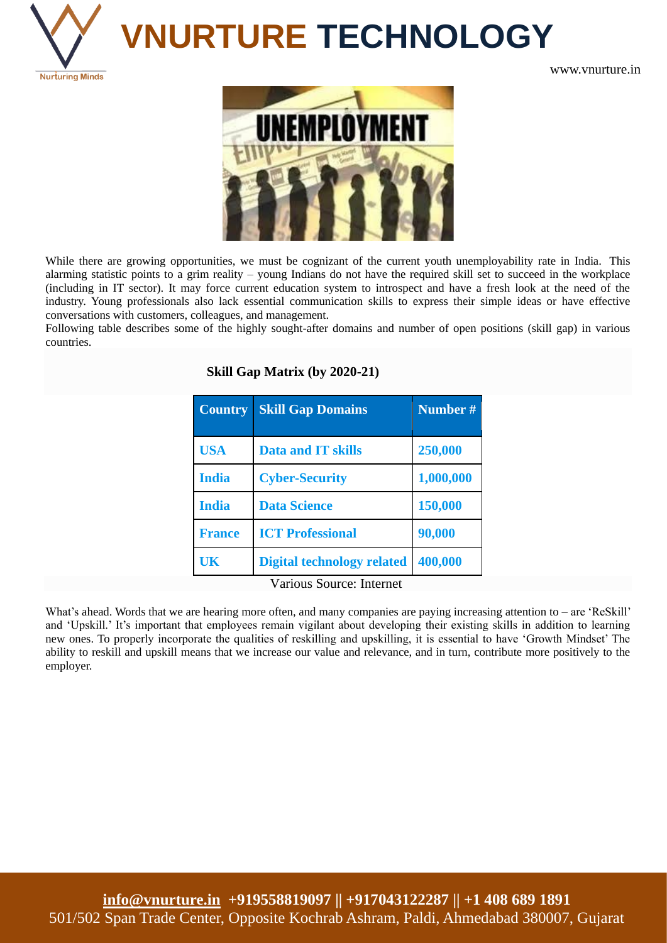

# **VNURTURE TECHNOLOGY**

www.vnurture.in



While there are growing opportunities, we must be cognizant of the current youth unemployability rate in India. This alarming statistic points to a grim reality – young Indians do not have the required skill set to succeed in the workplace (including in IT sector). It may force current education system to introspect and have a fresh look at the need of the industry. Young professionals also lack essential communication skills to express their simple ideas or have effective conversations with customers, colleagues, and management.

Following table describes some of the highly sought-after domains and number of open positions (skill gap) in various countries.

**Skill Gap Matrix (by 2020-21)**

| <b>Country</b> | <b>Skill Gap Domains</b>          | Number #  |
|----------------|-----------------------------------|-----------|
| <b>USA</b>     | <b>Data and IT skills</b>         | 250,000   |
| <b>India</b>   | <b>Cyber-Security</b>             | 1,000,000 |
| <b>India</b>   | <b>Data Science</b>               | 150,000   |
| <b>France</b>  | <b>ICT Professional</b>           | 90,000    |
| UK             | <b>Digital technology related</b> | 400,000   |

Various Source: Internet

What's ahead. Words that we are hearing more often, and many companies are paying increasing attention to – are 'ReSkill' and 'Upskill.' It's important that employees remain vigilant about developing their existing skills in addition to learning new ones. To properly incorporate the qualities of reskilling and upskilling, it is essential to have 'Growth Mindset' The ability to reskill and upskill means that we increase our value and relevance, and in turn, contribute more positively to the employer.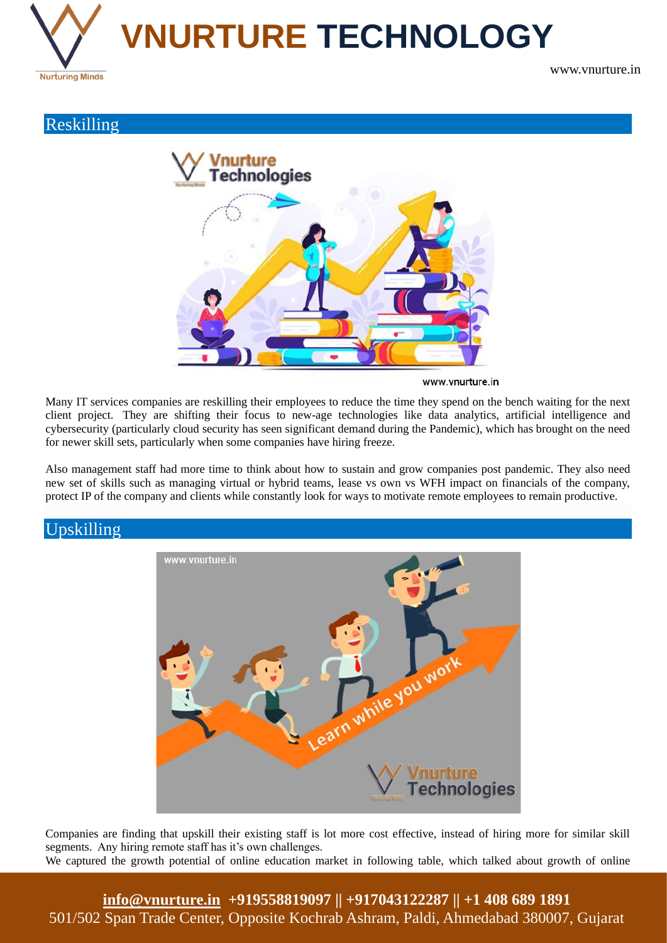

www.vnurture.in

## Reskilling

Upskilling



www.vnurture.in

Many IT services companies are reskilling their employees to reduce the time they spend on the bench waiting for the next client project. They are shifting their focus to new-age technologies like data analytics, artificial intelligence and cybersecurity (particularly cloud security has seen significant demand during the Pandemic), which has brought on the need for newer skill sets, particularly when some companies have hiring freeze.

Also management staff had more time to think about how to sustain and grow companies post pandemic. They also need new set of skills such as managing virtual or hybrid teams, lease vs own vs WFH impact on financials of the company, protect IP of the company and clients while constantly look for ways to motivate remote employees to remain productive.



Companies are finding that upskill their existing staff is lot more cost effective, instead of hiring more for similar skill segments. Any hiring remote staff has it's own challenges. We captured the growth potential of online education market in following table, which talked about growth of online

**[info@vnurture.in](mailto:info@vnurture.in) +919558819097 || +917043122287 || +1 408 689 1891** 501/502 Span Trade Center, Opposite Kochrab Ashram, Paldi, Ahmedabad 380007, Gujarat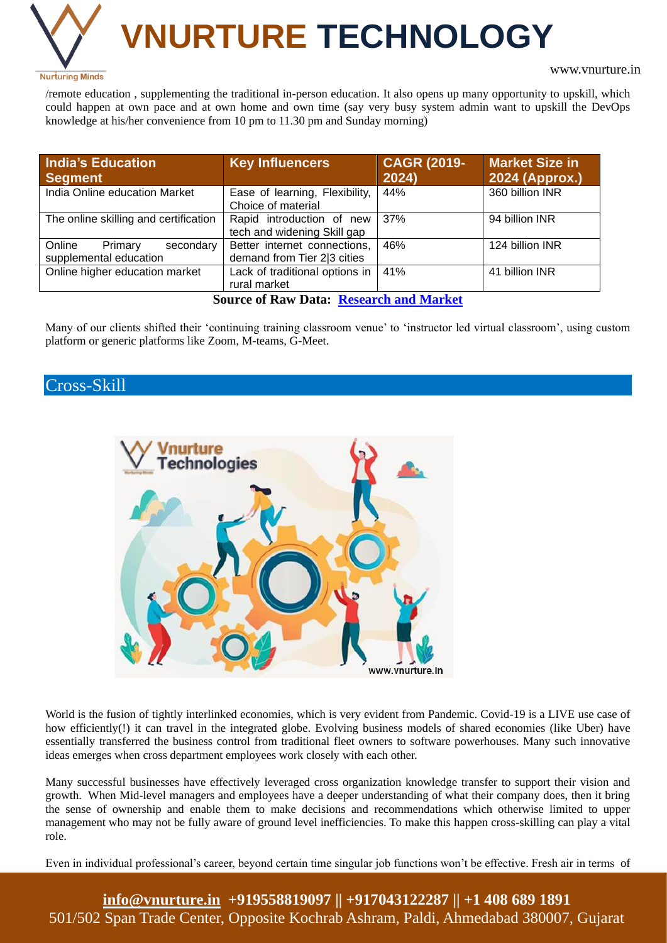

# **VNURTURE TECHNOLOGY**

#### www.vnurture.in

/remote education , supplementing the traditional in-person education. It also opens up many opportunity to upskill, which could happen at own pace and at own home and own time (say very busy system admin want to upskill the DevOps knowledge at his/her convenience from 10 pm to 11.30 pm and Sunday morning)

| <b>India's Education</b><br><b>Segment</b>               | <b>Key Influencers</b>                                      | <b>CAGR (2019-</b><br>2024) | <b>Market Size in</b><br>2024 (Approx.) |
|----------------------------------------------------------|-------------------------------------------------------------|-----------------------------|-----------------------------------------|
| India Online education Market                            | Ease of learning, Flexibility,<br>Choice of material        | 44%                         | 360 billion INR                         |
| The online skilling and certification                    | Rapid introduction of new<br>tech and widening Skill gap    | 37%                         | 94 billion INR                          |
| Online<br>Primary<br>secondary<br>supplemental education | Better internet connections,<br>demand from Tier 2 3 cities | 46%                         | 124 billion INR                         |
| Online higher education market                           | Lack of traditional options in<br>rural market              | 41%                         | 41 billion INR                          |

**Source of Raw Data: [Research and Market](https://www.prnewswire.com/news-releases/indian-online-education-market-outlook-to-2024-online-primary--secondary-supplemental-education-test-preparation-reskilling--certification-higher-education-and-language--casual-learning-301041959.html)**

Many of our clients shifted their 'continuing training classroom venue' to 'instructor led virtual classroom', using custom platform or generic platforms like Zoom, M-teams, G-Meet.

## Cross-Skill



World is the fusion of tightly interlinked economies, which is very evident from Pandemic. Covid-19 is a LIVE use case of how efficiently(!) it can travel in the integrated globe. Evolving business models of shared economies (like Uber) have essentially transferred the business control from traditional fleet owners to software powerhouses. Many such innovative ideas emerges when cross department employees work closely with each other.

Many successful businesses have effectively leveraged cross organization knowledge transfer to support their vision and growth. When Mid-level managers and employees have a deeper understanding of what their company does, then it bring the sense of ownership and enable them to make decisions and recommendations which otherwise limited to upper management who may not be fully aware of ground level inefficiencies. To make this happen cross-skilling can play a vital role.

Even in individual professional's career, beyond certain time singular job functions won't be effective. Fresh air in terms of

**[info@vnurture.in](mailto:info@vnurture.in) +919558819097 || +917043122287 || +1 408 689 1891** 501/502 Span Trade Center, Opposite Kochrab Ashram, Paldi, Ahmedabad 380007, Gujarat